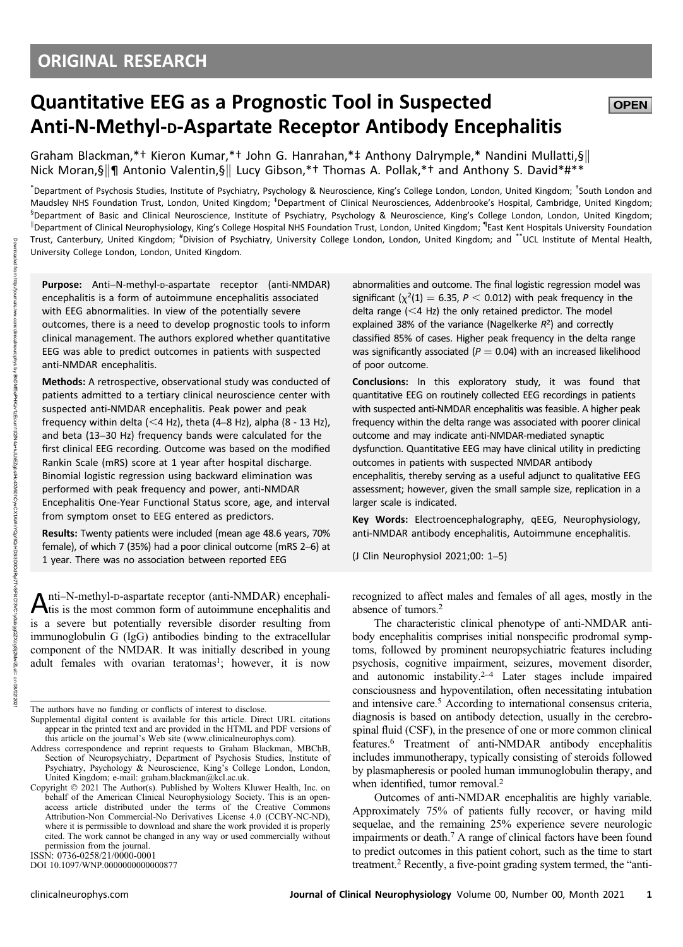# Quantitative EEG as a Prognostic Tool in Suspected Anti-N-Methyl-D-Aspartate Receptor Antibody Encephalitis

Graham Blackman,\*† Kieron Kumar,\*† John G. Hanrahan,\*‡ Anthony Dalrymple,\* Nandini Mullatti,§ Nick Moran,§||¶ Antonio Valentin,§|| Lucy Gibson,\*† Thomas A. Pollak,\*† and Anthony S. David\*#\*\*

\*Department of Psychosis Studies, Institute of Psychiatry, Psychology & Neuroscience, King's College London, London, United Kingdom; <sup>+</sup>South London and Maudsley NHS Foundation Trust, London, United Kingdom; <sup>‡</sup>Department of Clinical Neurosciences, Addenbrooke's Hospital, Cambridge, United Kingdom; <sup>§</sup>Department of Basic and Clinical Neuroscience, Institute of Psychiatry, Psychology & Neuroscience, King's College London, London, United Kingdom; k Department of Clinical Neurophysiology, King's College Hospital NHS Foundation Trust, London, United Kingdom; ¶ East Kent Hospitals University Foundation Trust, Canterbury, United Kingdom; # Division of Psychiatry, University College London, London, United Kingdom; and \*\*UCL Institute of Mental Health, University College London, London, United Kingdom.

Purpose: Anti-N-methyl-D-aspartate receptor (anti-NMDAR) encephalitis is a form of autoimmune encephalitis associated with EEG abnormalities. In view of the potentially severe outcomes, there is a need to develop prognostic tools to inform clinical management. The authors explored whether quantitative EEG was able to predict outcomes in patients with suspected anti-NMDAR encephalitis.

Methods: A retrospective, observational study was conducted of patients admitted to a tertiary clinical neuroscience center with suspected anti-NMDAR encephalitis. Peak power and peak frequency within delta ( $<$ 4 Hz), theta (4–8 Hz), alpha (8 - 13 Hz), and beta (13–30 Hz) frequency bands were calculated for the first clinical EEG recording. Outcome was based on the modified Rankin Scale (mRS) score at 1 year after hospital discharge. Binomial logistic regression using backward elimination was performed with peak frequency and power, anti-NMDAR Encephalitis One-Year Functional Status score, age, and interval from symptom onset to EEG entered as predictors.

Results: Twenty patients were included (mean age 48.6 years, 70% female), of which 7 (35%) had a poor clinical outcome (mRS 2–6) at 1 year. There was no association between reported EEG

Anti–N-methyl-D-aspartate receptor (anti-NMDAR) encephali-<br>tis is the most common form of autoimmune encephalitis and is a severe but potentially reversible disorder resulting from immunoglobulin G (IgG) antibodies binding to the extracellular component of the NMDAR. It was initially described in young adult females with ovarian teratomas<sup>1</sup>; however, it is now

DOI 10.1097/WNP.0000000000000877

abnormalities and outcome. The final logistic regression model was significant ( $\chi^2(1) = 6.35$ ,  $P < 0.012$ ) with peak frequency in the delta range  $( $4$  Hz) the only retained predictor. The model$ explained 38% of the variance (Nagelkerke  $R^2$ ) and correctly classified 85% of cases. Higher peak frequency in the delta range was significantly associated ( $P = 0.04$ ) with an increased likelihood of poor outcome.

**OPEN** 

Conclusions: In this exploratory study, it was found that quantitative EEG on routinely collected EEG recordings in patients with suspected anti-NMDAR encephalitis was feasible. A higher peak frequency within the delta range was associated with poorer clinical outcome and may indicate anti-NMDAR-mediated synaptic dysfunction. Quantitative EEG may have clinical utility in predicting outcomes in patients with suspected NMDAR antibody encephalitis, thereby serving as a useful adjunct to qualitative EEG

assessment; however, given the small sample size, replication in a larger scale is indicated. Key Words: Electroencephalography, qEEG, Neurophysiology,

anti-NMDAR antibody encephalitis, Autoimmune encephalitis.

(J Clin Neurophysiol 2021;00: 1–5)

recognized to affect males and females of all ages, mostly in the absence of tumors.2

The characteristic clinical phenotype of anti-NMDAR antibody encephalitis comprises initial nonspecific prodromal symptoms, followed by prominent neuropsychiatric features including psychosis, cognitive impairment, seizures, movement disorder, and autonomic instability. $2-4$  Later stages include impaired consciousness and hypoventilation, often necessitating intubation and intensive care.<sup>5</sup> According to international consensus criteria, diagnosis is based on antibody detection, usually in the cerebrospinal fluid (CSF), in the presence of one or more common clinical features.6 Treatment of anti-NMDAR antibody encephalitis includes immunotherapy, typically consisting of steroids followed by plasmapheresis or pooled human immunoglobulin therapy, and when identified, tumor removal.<sup>2</sup>

Outcomes of anti-NMDAR encephalitis are highly variable. Approximately 75% of patients fully recover, or having mild sequelae, and the remaining 25% experience severe neurologic impairments or death.7 A range of clinical factors have been found to predict outcomes in this patient cohort, such as the time to start treatment.2 Recently, a five-point grading system termed, the "anti-

The authors have no funding or conflicts of interest to disclose.

Supplemental digital content is available for this article. Direct URL citations appear in the printed text and are provided in the HTML and PDF versions of this article on the journal's Web site ([www.clinicalneurophys.com\)](http://www.clinicalneurophys.com).

Address correspondence and reprint requests to Graham Blackman, MBChB, Section of Neuropsychiatry, Department of Psychosis Studies, Institute of Psychiatry, Psychology & Neuroscience, King's College London, London, United Kingdom; e-mail: [graham.blackman@kcl.ac.uk.](mailto:graham.blackman@kcl.ac.uk)

Copyright  $© 2021$  The Author(s). Published by Wolters Kluwer Health, Inc. on behalf of the American Clinical Neurophysiology Society. This is an openaccess article distributed under the terms of the [Creative Commons](http://creativecommons.org/licenses/by-nc-nd/4.0/) [Attribution-Non Commercial-No Derivatives License 4.0 \(CCBY-NC-ND\),](http://creativecommons.org/licenses/by-nc-nd/4.0/) where it is permissible to download and share the work provided it is properly cited. The work cannot be changed in any way or used commercially without permission from the journal. ISSN: 0736-0258/21/0000-0001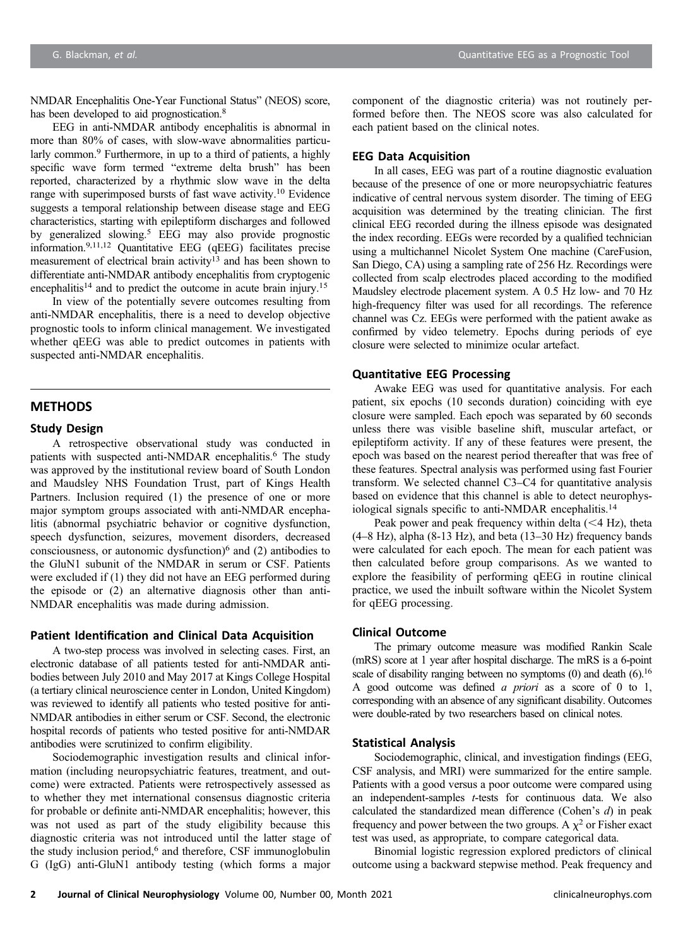NMDAR Encephalitis One-Year Functional Status" (NEOS) score, has been developed to aid prognostication.<sup>8</sup>

EEG in anti-NMDAR antibody encephalitis is abnormal in more than 80% of cases, with slow-wave abnormalities particularly common.<sup>9</sup> Furthermore, in up to a third of patients, a highly specific wave form termed "extreme delta brush" has been reported, characterized by a rhythmic slow wave in the delta range with superimposed bursts of fast wave activity.10 Evidence suggests a temporal relationship between disease stage and EEG characteristics, starting with epileptiform discharges and followed by generalized slowing.5 EEG may also provide prognostic information.9,11,12 Quantitative EEG (qEEG) facilitates precise measurement of electrical brain activity<sup>13</sup> and has been shown to differentiate anti-NMDAR antibody encephalitis from cryptogenic encephalitis<sup>14</sup> and to predict the outcome in acute brain injury.<sup>15</sup>

In view of the potentially severe outcomes resulting from anti-NMDAR encephalitis, there is a need to develop objective prognostic tools to inform clinical management. We investigated whether qEEG was able to predict outcomes in patients with suspected anti-NMDAR encephalitis.

## **METHODS**

#### Study Design

A retrospective observational study was conducted in patients with suspected anti-NMDAR encephalitis.<sup>6</sup> The study was approved by the institutional review board of South London and Maudsley NHS Foundation Trust, part of Kings Health Partners. Inclusion required (1) the presence of one or more major symptom groups associated with anti-NMDAR encephalitis (abnormal psychiatric behavior or cognitive dysfunction, speech dysfunction, seizures, movement disorders, decreased consciousness, or autonomic dysfunction) $6$  and (2) antibodies to the GluN1 subunit of the NMDAR in serum or CSF. Patients were excluded if (1) they did not have an EEG performed during the episode or (2) an alternative diagnosis other than anti-NMDAR encephalitis was made during admission.

#### Patient Identification and Clinical Data Acquisition

A two-step process was involved in selecting cases. First, an electronic database of all patients tested for anti-NMDAR antibodies between July 2010 and May 2017 at Kings College Hospital (a tertiary clinical neuroscience center in London, United Kingdom) was reviewed to identify all patients who tested positive for anti-NMDAR antibodies in either serum or CSF. Second, the electronic hospital records of patients who tested positive for anti-NMDAR antibodies were scrutinized to confirm eligibility.

Sociodemographic investigation results and clinical information (including neuropsychiatric features, treatment, and outcome) were extracted. Patients were retrospectively assessed as to whether they met international consensus diagnostic criteria for probable or definite anti-NMDAR encephalitis; however, this was not used as part of the study eligibility because this diagnostic criteria was not introduced until the latter stage of the study inclusion period,<sup>6</sup> and therefore, CSF immunoglobulin G (IgG) anti-GluN1 antibody testing (which forms a major

component of the diagnostic criteria) was not routinely performed before then. The NEOS score was also calculated for each patient based on the clinical notes.

#### EEG Data Acquisition

In all cases, EEG was part of a routine diagnostic evaluation because of the presence of one or more neuropsychiatric features indicative of central nervous system disorder. The timing of EEG acquisition was determined by the treating clinician. The first clinical EEG recorded during the illness episode was designated the index recording. EEGs were recorded by a qualified technician using a multichannel Nicolet System One machine (CareFusion, San Diego, CA) using a sampling rate of 256 Hz. Recordings were collected from scalp electrodes placed according to the modified Maudsley electrode placement system. A 0.5 Hz low- and 70 Hz high-frequency filter was used for all recordings. The reference channel was Cz. EEGs were performed with the patient awake as confirmed by video telemetry. Epochs during periods of eye closure were selected to minimize ocular artefact.

## Quantitative EEG Processing

Awake EEG was used for quantitative analysis. For each patient, six epochs (10 seconds duration) coinciding with eye closure were sampled. Each epoch was separated by 60 seconds unless there was visible baseline shift, muscular artefact, or epileptiform activity. If any of these features were present, the epoch was based on the nearest period thereafter that was free of these features. Spectral analysis was performed using fast Fourier transform. We selected channel C3–C4 for quantitative analysis based on evidence that this channel is able to detect neurophysiological signals specific to anti-NMDAR encephalitis.<sup>14</sup>

Peak power and peak frequency within delta  $(<$  4 Hz), theta  $(4–8 Hz)$ , alpha  $(8-13 Hz)$ , and beta  $(13–30 Hz)$  frequency bands were calculated for each epoch. The mean for each patient was then calculated before group comparisons. As we wanted to explore the feasibility of performing qEEG in routine clinical practice, we used the inbuilt software within the Nicolet System for qEEG processing.

# Clinical Outcome

The primary outcome measure was modified Rankin Scale (mRS) score at 1 year after hospital discharge. The mRS is a 6-point scale of disability ranging between no symptoms  $(0)$  and death  $(6)$ .<sup>16</sup> A good outcome was defined a priori as a score of 0 to 1, corresponding with an absence of any significant disability. Outcomes were double-rated by two researchers based on clinical notes.

#### Statistical Analysis

Sociodemographic, clinical, and investigation findings (EEG, CSF analysis, and MRI) were summarized for the entire sample. Patients with a good versus a poor outcome were compared using an independent-samples t-tests for continuous data. We also calculated the standardized mean difference (Cohen's d) in peak frequency and power between the two groups. A  $\chi^2$  or Fisher exact test was used, as appropriate, to compare categorical data.

Binomial logistic regression explored predictors of clinical outcome using a backward stepwise method. Peak frequency and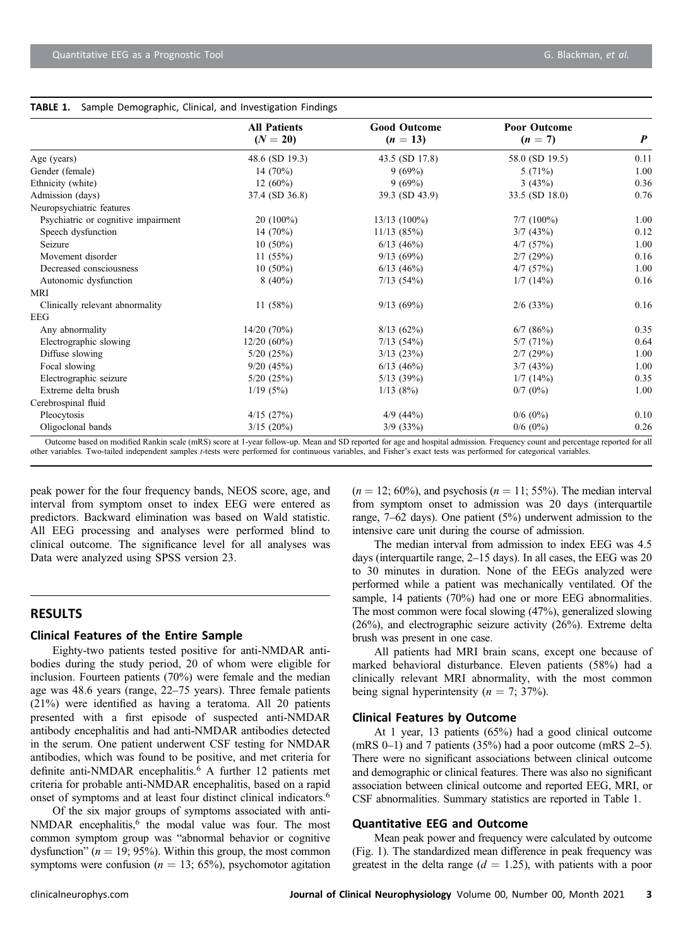|                                     | <b>All Patients</b><br>$(N = 20)$ | <b>Good Outcome</b><br>$(n = 13)$ | <b>Poor Outcome</b><br>$(n = 7)$ | $\boldsymbol{P}$ |
|-------------------------------------|-----------------------------------|-----------------------------------|----------------------------------|------------------|
|                                     |                                   |                                   |                                  |                  |
| Age (years)                         | 48.6 (SD 19.3)                    | 43.5 (SD 17.8)                    | 58.0 (SD 19.5)                   | 0.11             |
| Gender (female)                     | 14 $(70%)$                        | 9(69%)                            | 5(71%)                           | 1.00             |
| Ethnicity (white)                   | $12(60\%)$                        | 9(69%)                            | 3(43%)                           | 0.36             |
| Admission (days)                    | 37.4 (SD 36.8)                    | 39.3 (SD 43.9)                    | 33.5 (SD 18.0)                   | 0.76             |
| Neuropsychiatric features           |                                   |                                   |                                  |                  |
| Psychiatric or cognitive impairment | $20(100\%)$                       | $13/13(100\%)$                    | $7/7$ (100%)                     | 1.00             |
| Speech dysfunction                  | 14 $(70%)$                        | 11/13(85%)                        | 3/7(43%)                         | 0.12             |
| Seizure                             | $10(50\%)$                        | $6/13$ (46%)                      | 4/7(57%)                         | 1.00             |
| Movement disorder                   | 11(55%)                           | 9/13(69%)                         | 2/7(29%)                         | 0.16             |
| Decreased consciousness             | $10(50\%)$                        | $6/13$ (46%)                      | 4/7(57%)                         | 1.00             |
| Autonomic dysfunction               | $8(40\%)$                         | 7/13(54%)                         | 1/7(14%)                         | 0.16             |
| MRI                                 |                                   |                                   |                                  |                  |
| Clinically relevant abnormality     | 11(58%)                           | 9/13(69%)                         | $2/6$ (33%)                      | 0.16             |
| EEG                                 |                                   |                                   |                                  |                  |
| Any abnormality                     | 14/20(70%)                        | 8/13(62%)                         | $6/7$ $(86%)$                    | 0.35             |
| Electrographic slowing              | $12/20(60\%)$                     | 7/13(54%)                         | 5/7(71%)                         | 0.64             |
| Diffuse slowing                     | $5/20$ $(25%)$                    | $3/13$ $(23%)$                    | 2/7(29%)                         | 1.00             |
| Focal slowing                       | 9/20(45%)                         | $6/13$ (46%)                      | 3/7(43%)                         | 1.00             |
| Electrographic seizure              | $5/20$ $(25%)$                    | $5/13$ (39%)                      | 1/7(14%)                         | 0.35             |
| Extreme delta brush                 | 1/19(5%)                          | 1/13(8%)                          | $0/7$ (0%)                       | 1.00             |
| Cerebrospinal fluid                 |                                   |                                   |                                  |                  |
| Pleocytosis                         | $4/15$ (27%)                      | $4/9$ (44%)                       | $0/6$ (0%)                       | 0.10             |
| Oligoclonal bands                   | $3/15(20\%)$                      | $3/9$ $(33\%)$                    | $0/6$ (0%)                       | 0.26             |

#### TABLE 1. Sample Demographic, Clinical, and Investigation Findings

Outcome based on modified Rankin scale (mRS) score at 1-year follow-up. Mean and SD reported for age and hospital admission. Frequency count and percentage reported for all other variables. Two-tailed independent samples t-tests were performed for continuous variables, and Fisher's exact tests was performed for categorical variables.

peak power for the four frequency bands, NEOS score, age, and interval from symptom onset to index EEG were entered as predictors. Backward elimination was based on Wald statistic. All EEG processing and analyses were performed blind to clinical outcome. The significance level for all analyses was Data were analyzed using SPSS version 23.

# RESULTS

#### Clinical Features of the Entire Sample

Eighty-two patients tested positive for anti-NMDAR antibodies during the study period, 20 of whom were eligible for inclusion. Fourteen patients (70%) were female and the median age was 48.6 years (range, 22–75 years). Three female patients (21%) were identified as having a teratoma. All 20 patients presented with a first episode of suspected anti-NMDAR antibody encephalitis and had anti-NMDAR antibodies detected in the serum. One patient underwent CSF testing for NMDAR antibodies, which was found to be positive, and met criteria for definite anti-NMDAR encephalitis.<sup>6</sup> A further 12 patients met criteria for probable anti-NMDAR encephalitis, based on a rapid onset of symptoms and at least four distinct clinical indicators.6

Of the six major groups of symptoms associated with anti-NMDAR encephalitis,<sup>6</sup> the modal value was four. The most common symptom group was "abnormal behavior or cognitive dysfunction" ( $n = 19$ ; 95%). Within this group, the most common symptoms were confusion ( $n = 13$ ; 65%), psychomotor agitation  $(n = 12; 60\%)$ , and psychosis  $(n = 11; 55\%)$ . The median interval from symptom onset to admission was 20 days (interquartile range, 7–62 days). One patient (5%) underwent admission to the intensive care unit during the course of admission.

The median interval from admission to index EEG was 4.5 days (interquartile range, 2–15 days). In all cases, the EEG was 20 to 30 minutes in duration. None of the EEGs analyzed were performed while a patient was mechanically ventilated. Of the sample, 14 patients (70%) had one or more EEG abnormalities. The most common were focal slowing (47%), generalized slowing (26%), and electrographic seizure activity (26%). Extreme delta brush was present in one case.

All patients had MRI brain scans, except one because of marked behavioral disturbance. Eleven patients (58%) had a clinically relevant MRI abnormality, with the most common being signal hyperintensity ( $n = 7$ ; 37%).

#### Clinical Features by Outcome

At 1 year, 13 patients (65%) had a good clinical outcome  $(mRS 0-1)$  and 7 patients (35%) had a poor outcome  $(mRS 2-5)$ . There were no significant associations between clinical outcome and demographic or clinical features. There was also no significant association between clinical outcome and reported EEG, MRI, or CSF abnormalities. Summary statistics are reported in Table 1.

#### Quantitative EEG and Outcome

Mean peak power and frequency were calculated by outcome (Fig. 1). The standardized mean difference in peak frequency was greatest in the delta range  $(d = 1.25)$ , with patients with a poor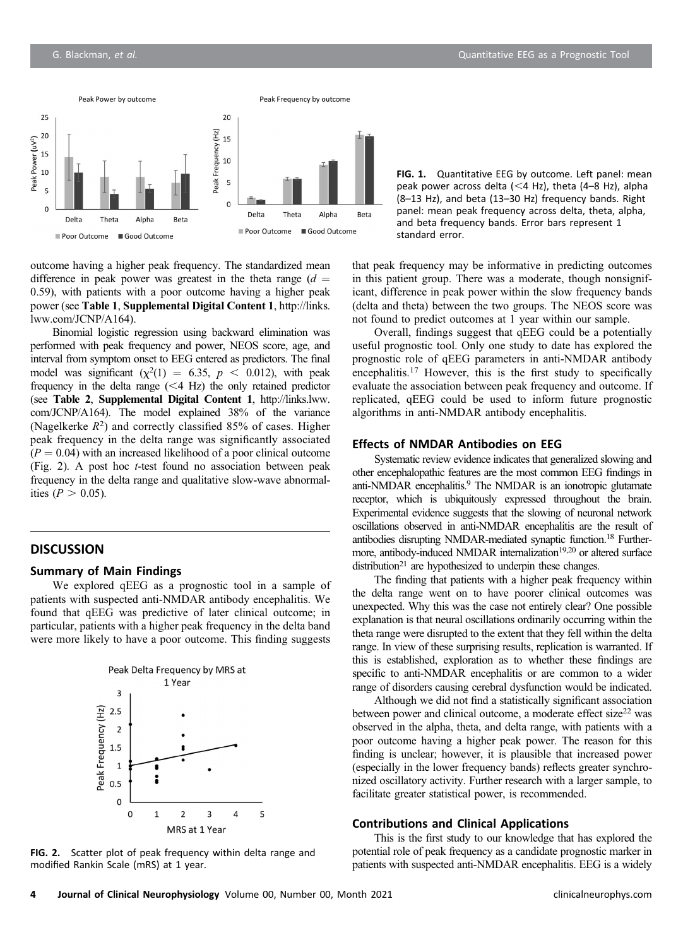

FIG. 1. Quantitative EEG by outcome. Left panel: mean peak power across delta  $(<$ 4 Hz), theta (4–8 Hz), alpha (8–13 Hz), and beta (13–30 Hz) frequency bands. Right panel: mean peak frequency across delta, theta, alpha, and beta frequency bands. Error bars represent 1 standard error.

outcome having a higher peak frequency. The standardized mean difference in peak power was greatest in the theta range  $(d =$ 0.59), with patients with a poor outcome having a higher peak power (see Table 1, Supplemental Digital Content 1, [http://links.](http://links.lww.com/JCNP/A164) [lww.com/JCNP/A164\)](http://links.lww.com/JCNP/A164).

Binomial logistic regression using backward elimination was performed with peak frequency and power, NEOS score, age, and interval from symptom onset to EEG entered as predictors. The final model was significant  $(\chi^2(1) = 6.35, p < 0.012)$ , with peak frequency in the delta range  $( $4$  Hz) the only retained predictor$ (see Table 2, Supplemental Digital Content 1, [http://links.lww.](http://links.lww.com/JCNP/A164) [com/JCNP/A164\)](http://links.lww.com/JCNP/A164). The model explained 38% of the variance (Nagelkerke  $R^2$ ) and correctly classified 85% of cases. Higher peak frequency in the delta range was significantly associated  $(P = 0.04)$  with an increased likelihood of a poor clinical outcome (Fig. 2). A post hoc t-test found no association between peak frequency in the delta range and qualitative slow-wave abnormalities ( $P > 0.05$ ).

## **DISCUSSION**

## Summary of Main Findings

We explored qEEG as a prognostic tool in a sample of patients with suspected anti-NMDAR antibody encephalitis. We found that qEEG was predictive of later clinical outcome; in particular, patients with a higher peak frequency in the delta band were more likely to have a poor outcome. This finding suggests



FIG. 2. Scatter plot of peak frequency within delta range and modified Rankin Scale (mRS) at 1 year.

that peak frequency may be informative in predicting outcomes in this patient group. There was a moderate, though nonsignificant, difference in peak power within the slow frequency bands (delta and theta) between the two groups. The NEOS score was not found to predict outcomes at 1 year within our sample.

Overall, findings suggest that qEEG could be a potentially useful prognostic tool. Only one study to date has explored the prognostic role of qEEG parameters in anti-NMDAR antibody encephalitis.<sup>17</sup> However, this is the first study to specifically evaluate the association between peak frequency and outcome. If replicated, qEEG could be used to inform future prognostic algorithms in anti-NMDAR antibody encephalitis.

#### Effects of NMDAR Antibodies on EEG

Systematic review evidence indicates that generalized slowing and other encephalopathic features are the most common EEG findings in anti-NMDAR encephalitis.9 The NMDAR is an ionotropic glutamate receptor, which is ubiquitously expressed throughout the brain. Experimental evidence suggests that the slowing of neuronal network oscillations observed in anti-NMDAR encephalitis are the result of antibodies disrupting NMDAR-mediated synaptic function.18 Furthermore, antibody-induced NMDAR internalization<sup>19,20</sup> or altered surface  $distribution<sup>21</sup>$  are hypothesized to underpin these changes.

The finding that patients with a higher peak frequency within the delta range went on to have poorer clinical outcomes was unexpected. Why this was the case not entirely clear? One possible explanation is that neural oscillations ordinarily occurring within the theta range were disrupted to the extent that they fell within the delta range. In view of these surprising results, replication is warranted. If this is established, exploration as to whether these findings are specific to anti-NMDAR encephalitis or are common to a wider range of disorders causing cerebral dysfunction would be indicated.

Although we did not find a statistically significant association between power and clinical outcome, a moderate effect size<sup>22</sup> was observed in the alpha, theta, and delta range, with patients with a poor outcome having a higher peak power. The reason for this finding is unclear; however, it is plausible that increased power (especially in the lower frequency bands) reflects greater synchronized oscillatory activity. Further research with a larger sample, to facilitate greater statistical power, is recommended.

#### Contributions and Clinical Applications

This is the first study to our knowledge that has explored the potential role of peak frequency as a candidate prognostic marker in patients with suspected anti-NMDAR encephalitis. EEG is a widely